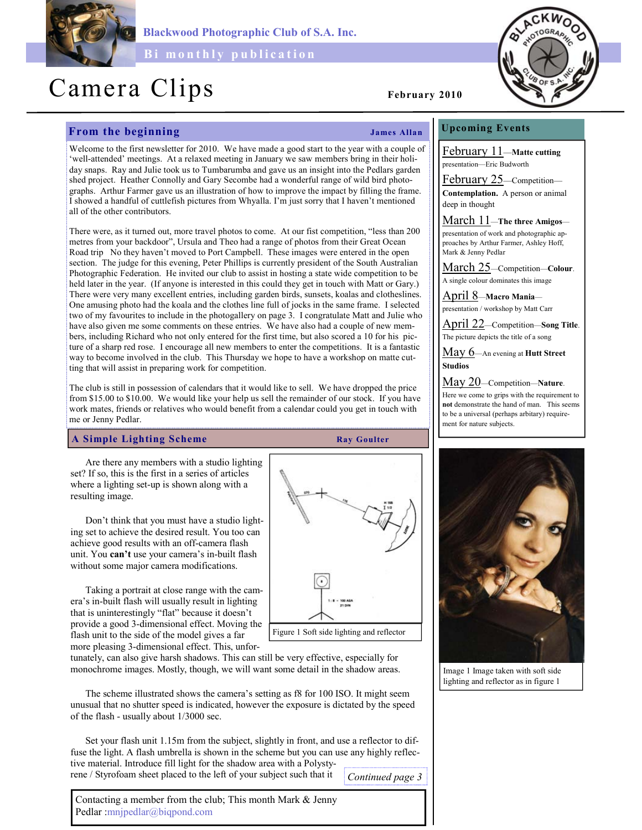

Blackwood Photographic Club of S.A. Inc.

Bi monthly publication

# Camera Clips February 2010

# From the beginning and the state of the James Allan

Welcome to the first newsletter for 2010. We have made a good start to the year with a couple of 'well-attended' meetings. At a relaxed meeting in January we saw members bring in their holiday snaps. Ray and Julie took us to Tumbarumba and gave us an insight into the Pedlars garden shed project. Heather Connolly and Gary Secombe had a wonderful range of wild bird photographs. Arthur Farmer gave us an illustration of how to improve the impact by filling the frame. I showed a handful of cuttlefish pictures from Whyalla. I'm just sorry that I haven't mentioned all of the other contributors.

There were, as it turned out, more travel photos to come. At our fist competition, "less than 200 metres from your backdoor", Ursula and Theo had a range of photos from their Great Ocean Road trip No they haven't moved to Port Campbell. These images were entered in the open section. The judge for this evening, Peter Phillips is currently president of the South Australian Photographic Federation. He invited our club to assist in hosting a state wide competition to be held later in the year. (If anyone is interested in this could they get in touch with Matt or Gary.) There were very many excellent entries, including garden birds, sunsets, koalas and clotheslines. One amusing photo had the koala and the clothes line full of jocks in the same frame. I selected two of my favourites to include in the photogallery on page 3. I congratulate Matt and Julie who have also given me some comments on these entries. We have also had a couple of new members, including Richard who not only entered for the first time, but also scored a 10 for his picture of a sharp red rose. I encourage all new members to enter the competitions. It is a fantastic way to become involved in the club. This Thursday we hope to have a workshop on matte cutting that will assist in preparing work for competition.

The club is still in possession of calendars that it would like to sell. We have dropped the price from \$15.00 to \$10.00. We would like your help us sell the remainder of our stock. If you have work mates, friends or relatives who would benefit from a calendar could you get in touch with me or Jenny Pedlar.

#### A Simple Lighting Scheme Ray Goulter

Figure 1 Soft side lighting and reflector

Are there any members with a studio lighting set? If so, this is the first in a series of articles where a lighting set-up is shown along with a resulting image.

Don't think that you must have a studio lighting set to achieve the desired result. You too can achieve good results with an off-camera flash unit. You can't use your camera's in-built flash without some major camera modifications.

Taking a portrait at close range with the camera's in-built flash will usually result in lighting that is uninterestingly "flat" because it doesn't provide a good 3-dimensional effect. Moving the flash unit to the side of the model gives a far more pleasing 3-dimensional effect. This, unfor-

tunately, can also give harsh shadows. This can still be very effective, especially for monochrome images. Mostly, though, we will want some detail in the shadow areas.

The scheme illustrated shows the camera's setting as f8 for 100 ISO. It might seem unusual that no shutter speed is indicated, however the exposure is dictated by the speed of the flash - usually about 1/3000 sec.

Set your flash unit 1.15m from the subject, slightly in front, and use a reflector to diffuse the light. A flash umbrella is shown in the scheme but you can use any highly reflective material. Introduce fill light for the shadow area with a Polystyrene / Styrofoam sheet placed to the left of your subject such that it

Continued page 3



### Upcoming Events

February 11—Matte cutting presentation—Eric Budworth

February 25-Competition-Contemplation. A person or animal deep in thought

March 11—The three Amigos—

presentation of work and photographic approaches by Arthur Farmer, Ashley Hoff, Mark & Jenny Pedlar

March 25—Competition—Colour. A single colour dominates this image

April 8—Macro Mania presentation / workshop by Matt Carr

April 22—Competition—Song Title. The picture depicts the title of a song

May 6—An evening at Hutt Street Studios

May 20 - Competition - Nature.

Here we come to grips with the requirement to not demonstrate the hand of man. This seems to be a universal (perhaps arbitary) requirement for nature subjects.



Image 1 Image taken with soft side lighting and reflector as in figure 1

Contacting a member from the club; This month Mark & Jenny Pedlar :mnjpedlar@biqpond.com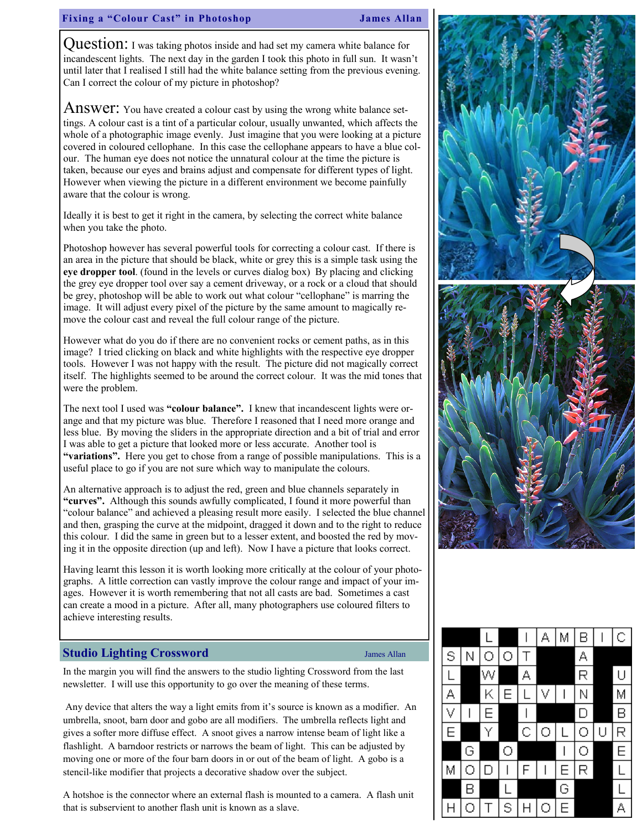## Fixing a "Colour Cast" in Photoshop James Allan

Question: I was taking photos inside and had set my camera white balance for incandescent lights. The next day in the garden I took this photo in full sun. It wasn't until later that I realised I still had the white balance setting from the previous evening. Can I correct the colour of my picture in photoshop?

Answer: You have created a colour cast by using the wrong white balance settings. A colour cast is a tint of a particular colour, usually unwanted, which affects the whole of a photographic image evenly. Just imagine that you were looking at a picture covered in coloured cellophane. In this case the cellophane appears to have a blue colour. The human eye does not notice the unnatural colour at the time the picture is taken, because our eyes and brains adjust and compensate for different types of light. However when viewing the picture in a different environment we become painfully aware that the colour is wrong.

Ideally it is best to get it right in the camera, by selecting the correct white balance when you take the photo.

Photoshop however has several powerful tools for correcting a colour cast. If there is an area in the picture that should be black, white or grey this is a simple task using the eye dropper tool. (found in the levels or curves dialog box) By placing and clicking the grey eye dropper tool over say a cement driveway, or a rock or a cloud that should be grey, photoshop will be able to work out what colour "cellophane" is marring the image. It will adjust every pixel of the picture by the same amount to magically remove the colour cast and reveal the full colour range of the picture.

However what do you do if there are no convenient rocks or cement paths, as in this image? I tried clicking on black and white highlights with the respective eye dropper tools. However I was not happy with the result. The picture did not magically correct itself. The highlights seemed to be around the correct colour. It was the mid tones that were the problem.

The next tool I used was "colour balance". I knew that incandescent lights were orange and that my picture was blue. Therefore I reasoned that I need more orange and less blue. By moving the sliders in the appropriate direction and a bit of trial and error I was able to get a picture that looked more or less accurate. Another tool is "variations". Here you get to chose from a range of possible manipulations. This is a useful place to go if you are not sure which way to manipulate the colours.

An alternative approach is to adjust the red, green and blue channels separately in "curves". Although this sounds awfully complicated, I found it more powerful than "colour balance" and achieved a pleasing result more easily. I selected the blue channel and then, grasping the curve at the midpoint, dragged it down and to the right to reduce this colour. I did the same in green but to a lesser extent, and boosted the red by moving it in the opposite direction (up and left). Now I have a picture that looks correct.

Having learnt this lesson it is worth looking more critically at the colour of your photographs. A little correction can vastly improve the colour range and impact of your images. However it is worth remembering that not all casts are bad. Sometimes a cast can create a mood in a picture. After all, many photographers use coloured filters to achieve interesting results.

### Studio Lighting Crossword James Allan

In the margin you will find the answers to the studio lighting Crossword from the last newsletter. I will use this opportunity to go over the meaning of these terms.

 Any device that alters the way a light emits from it's source is known as a modifier. An umbrella, snoot, barn door and gobo are all modifiers. The umbrella reflects light and gives a softer more diffuse effect. A snoot gives a narrow intense beam of light like a flashlight. A barndoor restricts or narrows the beam of light. This can be adjusted by moving one or more of the four barn doors in or out of the beam of light. A gobo is a stencil-like modifier that projects a decorative shadow over the subject.

A hotshoe is the connector where an external flash is mounted to a camera. A flash unit that is subservient to another flash unit is known as a slave.